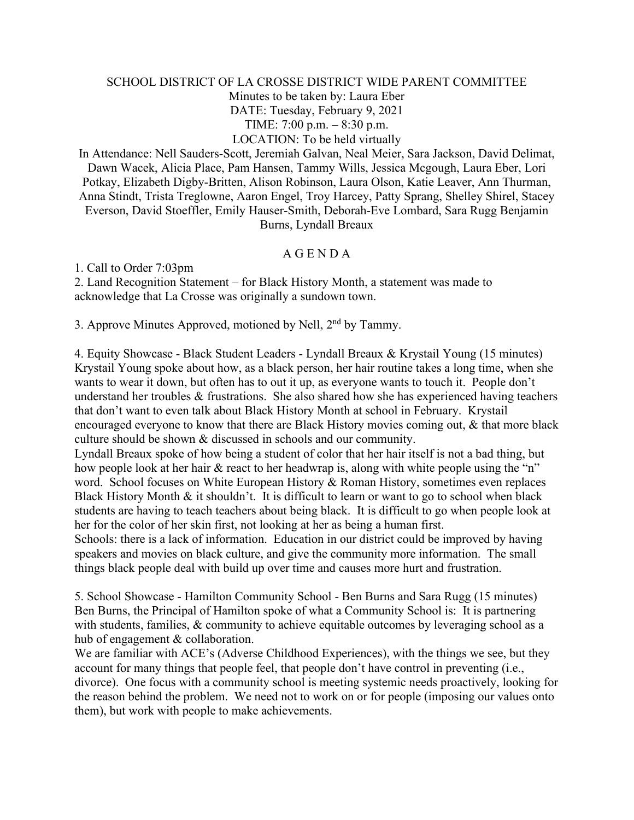## SCHOOL DISTRICT OF LA CROSSE DISTRICT WIDE PARENT COMMITTEE Minutes to be taken by: Laura Eber DATE: Tuesday, February 9, 2021 TIME: 7:00 p.m. – 8:30 p.m. LOCATION: To be held virtually

In Attendance: Nell Sauders-Scott, Jeremiah Galvan, Neal Meier, Sara Jackson, David Delimat, Dawn Wacek, Alicia Place, Pam Hansen, Tammy Wills, Jessica Mcgough, Laura Eber, Lori Potkay, Elizabeth Digby-Britten, Alison Robinson, Laura Olson, Katie Leaver, Ann Thurman, Anna Stindt, Trista Treglowne, Aaron Engel, Troy Harcey, Patty Sprang, Shelley Shirel, Stacey Everson, David Stoeffler, Emily Hauser-Smith, Deborah-Eve Lombard, Sara Rugg Benjamin Burns, Lyndall Breaux

## A G E N D A

1. Call to Order 7:03pm

2. Land Recognition Statement – for Black History Month, a statement was made to acknowledge that La Crosse was originally a sundown town.

3. Approve Minutes Approved, motioned by Nell, 2nd by Tammy.

4. Equity Showcase - Black Student Leaders - Lyndall Breaux & Krystail Young (15 minutes) Krystail Young spoke about how, as a black person, her hair routine takes a long time, when she wants to wear it down, but often has to out it up, as everyone wants to touch it. People don't understand her troubles & frustrations. She also shared how she has experienced having teachers that don't want to even talk about Black History Month at school in February. Krystail encouraged everyone to know that there are Black History movies coming out, & that more black culture should be shown & discussed in schools and our community.

Lyndall Breaux spoke of how being a student of color that her hair itself is not a bad thing, but how people look at her hair & react to her headwrap is, along with white people using the "n" word. School focuses on White European History & Roman History, sometimes even replaces Black History Month & it shouldn't. It is difficult to learn or want to go to school when black students are having to teach teachers about being black. It is difficult to go when people look at her for the color of her skin first, not looking at her as being a human first.

Schools: there is a lack of information. Education in our district could be improved by having speakers and movies on black culture, and give the community more information. The small things black people deal with build up over time and causes more hurt and frustration.

5. School Showcase - Hamilton Community School - Ben Burns and Sara Rugg (15 minutes) Ben Burns, the Principal of Hamilton spoke of what a Community School is: It is partnering with students, families, & community to achieve equitable outcomes by leveraging school as a hub of engagement & collaboration.

We are familiar with ACE's (Adverse Childhood Experiences), with the things we see, but they account for many things that people feel, that people don't have control in preventing (i.e., divorce). One focus with a community school is meeting systemic needs proactively, looking for the reason behind the problem. We need not to work on or for people (imposing our values onto them), but work with people to make achievements.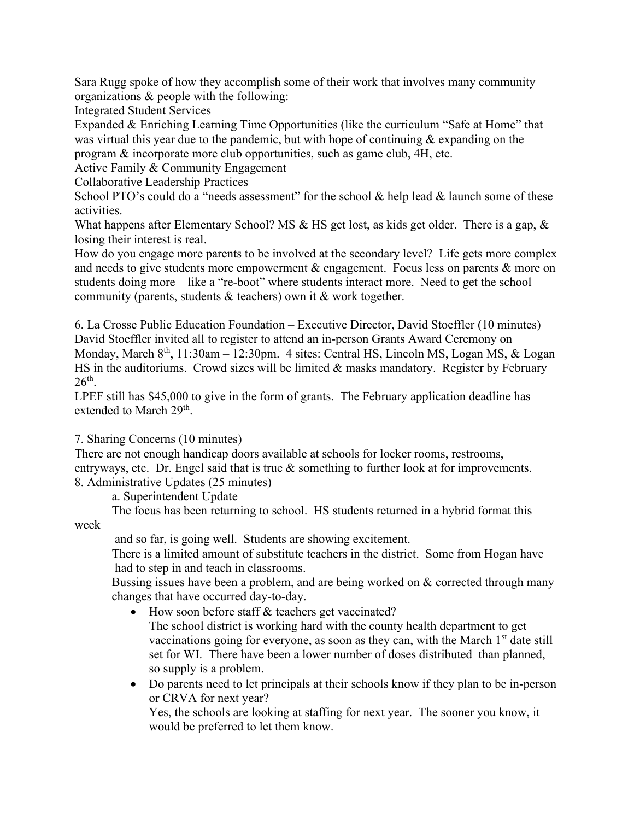Sara Rugg spoke of how they accomplish some of their work that involves many community organizations & people with the following:

Integrated Student Services

Expanded & Enriching Learning Time Opportunities (like the curriculum "Safe at Home" that was virtual this year due to the pandemic, but with hope of continuing  $\&$  expanding on the program & incorporate more club opportunities, such as game club, 4H, etc.

Active Family & Community Engagement

Collaborative Leadership Practices

School PTO's could do a "needs assessment" for the school & help lead & launch some of these activities.

What happens after Elementary School? MS & HS get lost, as kids get older. There is a gap, & losing their interest is real.

How do you engage more parents to be involved at the secondary level? Life gets more complex and needs to give students more empowerment & engagement. Focus less on parents & more on students doing more – like a "re-boot" where students interact more. Need to get the school community (parents, students & teachers) own it & work together.

6. La Crosse Public Education Foundation – Executive Director, David Stoeffler (10 minutes) David Stoeffler invited all to register to attend an in-person Grants Award Ceremony on Monday, March  $8<sup>th</sup>$ , 11:30am – 12:30pm. 4 sites: Central HS, Lincoln MS, Logan MS, & Logan HS in the auditoriums. Crowd sizes will be limited & masks mandatory. Register by February  $26<sup>th</sup>$ .

LPEF still has \$45,000 to give in the form of grants. The February application deadline has extended to March 29<sup>th</sup>.

## 7. Sharing Concerns (10 minutes)

There are not enough handicap doors available at schools for locker rooms, restrooms, entryways, etc. Dr. Engel said that is true & something to further look at for improvements. 8. Administrative Updates (25 minutes)

a. Superintendent Update

The focus has been returning to school. HS students returned in a hybrid format this week

and so far, is going well. Students are showing excitement.

There is a limited amount of substitute teachers in the district. Some from Hogan have had to step in and teach in classrooms.

Bussing issues have been a problem, and are being worked on & corrected through many changes that have occurred day-to-day.

• How soon before staff & teachers get vaccinated? The school district is working hard with the county health department to get vaccinations going for everyone, as soon as they can, with the March  $1<sup>st</sup>$  date still

set for WI. There have been a lower number of doses distributed than planned, so supply is a problem.

• Do parents need to let principals at their schools know if they plan to be in-person or CRVA for next year?

Yes, the schools are looking at staffing for next year. The sooner you know, it would be preferred to let them know.